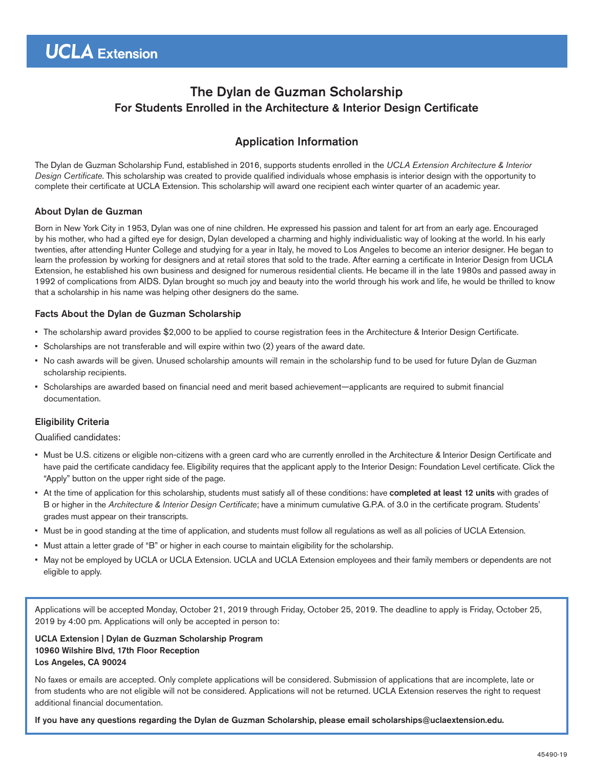# The Dylan de Guzman Scholarship For Students Enrolled in the Architecture & Interior Design Certificate

## Application Information

The Dylan de Guzman Scholarship Fund, established in 2016, supports students enrolled in the *UCLA Extension Architecture & Interior Design Certificate*. This scholarship was created to provide qualified individuals whose emphasis is interior design with the opportunity to complete their certificate at UCLA Extension. This scholarship will award one recipient each winter quarter of an academic year.

### About Dylan de Guzman

Born in New York City in 1953, Dylan was one of nine children. He expressed his passion and talent for art from an early age. Encouraged by his mother, who had a gifted eye for design, Dylan developed a charming and highly individualistic way of looking at the world. In his early twenties, after attending Hunter College and studying for a year in Italy, he moved to Los Angeles to become an interior designer. He began to learn the profession by working for designers and at retail stores that sold to the trade. After earning a certificate in Interior Design from UCLA Extension, he established his own business and designed for numerous residential clients. He became ill in the late 1980s and passed away in 1992 of complications from AIDS. Dylan brought so much joy and beauty into the world through his work and life, he would be thrilled to know that a scholarship in his name was helping other designers do the same.

### Facts About the Dylan de Guzman Scholarship

- The scholarship award provides \$2,000 to be applied to course registration fees in the Architecture & Interior Design Certificate.
- Scholarships are not transferable and will expire within two (2) years of the award date.
- No cash awards will be given. Unused scholarship amounts will remain in the scholarship fund to be used for future Dylan de Guzman scholarship recipients.
- Scholarships are awarded based on financial need and merit based achievement—applicants are required to submit financial documentation.

### Eligibility Criteria

### Qualified candidates:

- Must be U.S. citizens or eligible non-citizens with a green card who are currently enrolled in the Architecture & Interior Design Certificate and have paid the certificate candidacy fee. Eligibility requires that the applicant apply to the Interior Design: Foundation Level certificate. Click the "Apply" button on the upper right side of the page.
- At the time of application for this scholarship, students must satisfy all of these conditions: have completed at least 12 units with grades of B or higher in the Architecture & Interior Design Certificate; have a minimum cumulative G.P.A. of 3.0 in the certificate program. Students' grades must appear on their transcripts.
- Must be in good standing at the time of application, and students must follow all regulations as well as all policies of UCLA Extension.
- Must attain a letter grade of "B" or higher in each course to maintain eligibility for the scholarship.
- May not be employed by UCLA or UCLA Extension. UCLA and UCLA Extension employees and their family members or dependents are not eligible to apply.

Applications will be accepted Monday, October 21, 2019 through Friday, October 25, 2019. The deadline to apply is Friday, October 25, 2019 by 4:00 pm. Applications will only be accepted in person to:

### UCLA Extension | Dylan de Guzman Scholarship Program 10960 Wilshire Blvd, 17th Floor Reception Los Angeles, CA 90024

No faxes or emails are accepted. Only complete applications will be considered. Submission of applications that are incomplete, late or from students who are not eligible will not be considered. Applications will not be returned. UCLA Extension reserves the right to request additional financial documentation.

If you have any questions regarding the Dylan de Guzman Scholarship, please email scholarships@uclaextension.edu.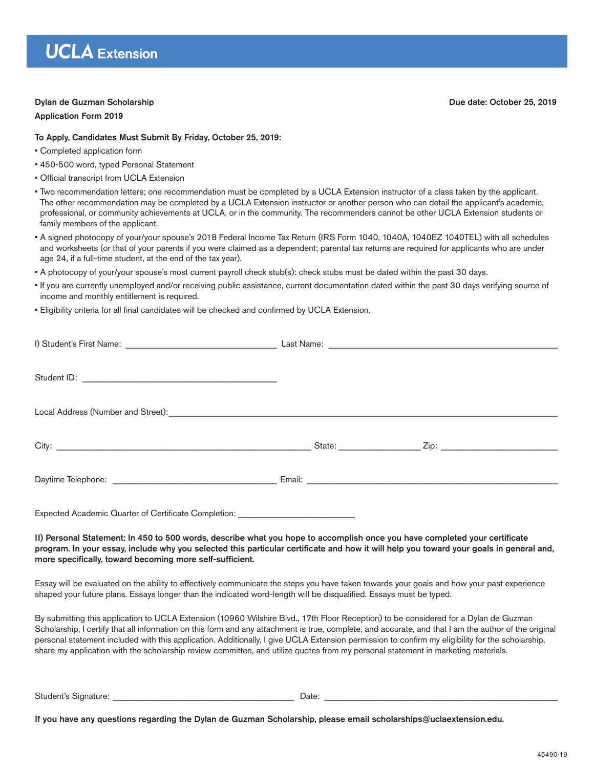# **UCLA** Extension

### Dylan de Guzman Scholarship Due date: October 25, 2019

#### Application Form 2019

### To Apply, Candidates Must Submit By Friday, October 25, 2019:

- Completed application form
- 450-500 word, typed Personal Statement
- Official transcript from UCLA Extension
- Two recommendation letters; one recommendation must be completed by a UCLA Extension instructor of a class taken by the applicant. The other recommendation may be completed by a UCLA Extension instructor or another person who can detail the applicant's academic, professional, or community achievements at UCLA, or in the community. The recommenders cannot be other UCLA Extension students or family members of the applicant.
- A signed photocopy of your/your spouse's 2018 Federal Income Tax Return (IRS Form 1040, 1040A, 1040EZ 1040TEL) with all schedules and worksheets (or that of your parents if you were claimed as a dependent; parental tax returns are required for applicants who are under age 24, if a full-time student, at the end of the tax year).
- A photocopy of your/your spouse's most current payroll check stub(s): check stubs must be dated within the past 30 days.
- If you are currently unemployed and/or receiving public assistance, current documentation dated within the past 30 days verifying source of income and monthly entitlement is required.
- Eligibility criteria for all final candidates will be checked and confirmed by UCLA Extension.

| Expected Academic Quarter of Certificate Completion: ___________________________ |  |
|----------------------------------------------------------------------------------|--|

II) Personal Statement: In 450 to 500 words, describe what you hope to accomplish once you have completed your certificate program. In your essay, include why you selected this particular certificate and how it will help you toward your goals in general and, more specifically, toward becoming more self-sufficient.

Essay will be evaluated on the ability to effectively communicate the steps you have taken towards your goals and how your past experience shaped your future plans. Essays longer than the indicated word-length will be disqualified. Essays must be typed.

By submitting this application to UCLA Extension (10960 Wilshire Blvd., 17th Floor Reception) to be considered for a Dylan de Guzman Scholarship, I certify that all information on this form and any attachment is true, complete, and accurate, and that I am the author of the original personal statement included with this application. Additionally, I give UCLA Extension permission to confirm my eligibility for the scholarship, share my application with the scholarship review committee, and utilize quotes from my personal statement in marketing materials.

Student's Signature: **Example 20** and the student's Signature: **Example 20** and the student's Signature:

If you have any questions regarding the Dylan de Guzman Scholarship, please email scholarships@uclaextension.edu.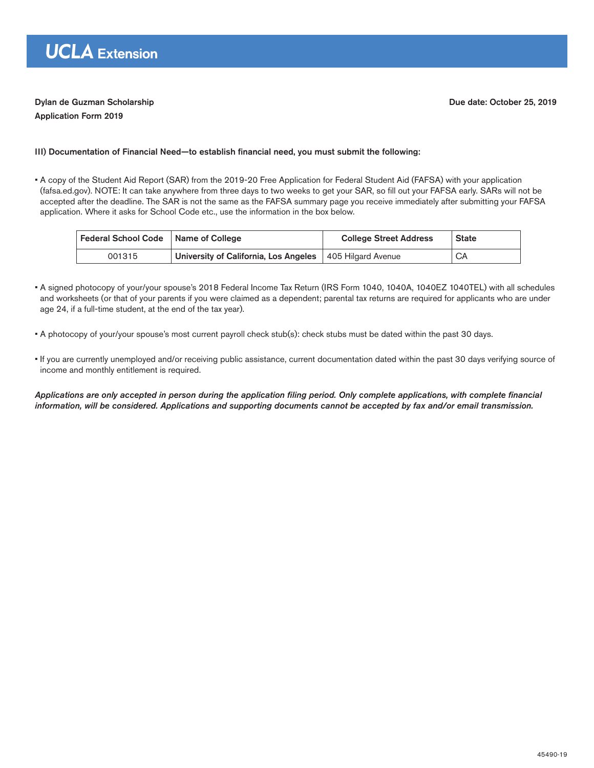### Dylan de Guzman Scholarship Due date: October 25, 2019

### III) Documentation of Financial Need—to establish financial need, you must submit the following:

• A copy of the Student Aid Report (SAR) from the 2019-20 Free Application for Federal Student Aid (FAFSA) with your application (fafsa.ed.gov). NOTE: It can take anywhere from three days to two weeks to get your SAR, so fill out your FAFSA early. SARs will not be accepted after the deadline. The SAR is not the same as the FAFSA summary page you receive immediately after submitting your FAFSA application. Where it asks for School Code etc., use the information in the box below.

| Federal School Code   Name of College |                                       | <b>College Street Address</b> | <b>State</b> |
|---------------------------------------|---------------------------------------|-------------------------------|--------------|
| 001315                                | University of California, Los Angeles | 405 Hilgard Avenue            | CA           |

- A signed photocopy of your/your spouse's 2018 Federal Income Tax Return (IRS Form 1040, 1040A, 1040EZ 1040TEL) with all schedules and worksheets (or that of your parents if you were claimed as a dependent; parental tax returns are required for applicants who are under age 24, if a full-time student, at the end of the tax year).
- A photocopy of your/your spouse's most current payroll check stub(s): check stubs must be dated within the past 30 days.
- If you are currently unemployed and/or receiving public assistance, current documentation dated within the past 30 days verifying source of income and monthly entitlement is required.

Applications are only accepted in person during the application filing period. Only complete applications, with complete financial information, will be considered. Applications and supporting documents cannot be accepted by fax and/or email transmission.